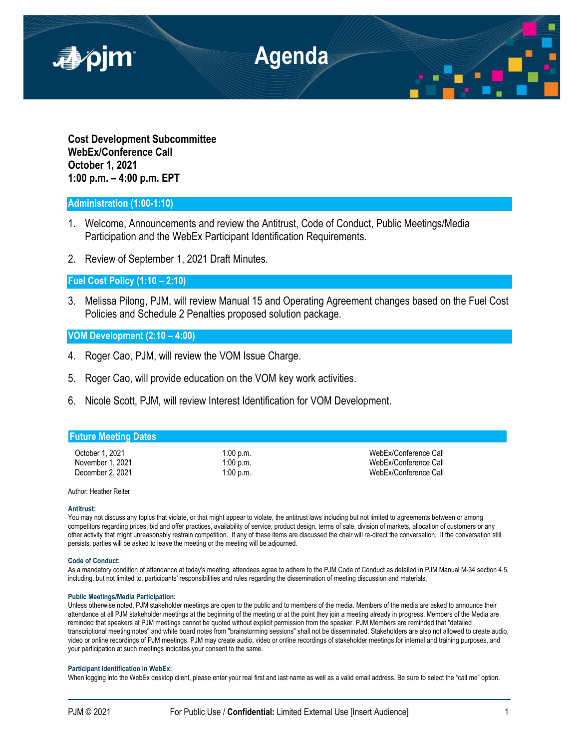

**Cost Development Subcommittee WebEx/Conference Call October 1, 2021 1:00 p.m. – 4:00 p.m. EPT**

# **Administration (1:00-1:10)**

- 1. Welcome, Announcements and review the Antitrust, Code of Conduct, Public Meetings/Media Participation and the WebEx Participant Identification Requirements.
- 2. Review of September 1, 2021 Draft Minutes.

**Fuel Cost Policy (1:10 – 2:10)**

3. Melissa Pilong, PJM, will review Manual 15 and Operating Agreement changes based on the Fuel Cost Policies and Schedule 2 Penalties proposed solution package.

## **VOM Development (2:10 – 4:00)**

- 4. Roger Cao, PJM, will review the VOM Issue Charge.
- 5. Roger Cao, will provide education on the VOM key work activities.
- 6. Nicole Scott, PJM, will review Interest Identification for VOM Development.

### **Future Meeting Dates**

October 1, 2021 **1:00 p.m.** 1:00 p.m. WebEx/Conference Call November 1, 2021 1:00 p.m.<br>
2:00 p.m. 1:00 p.m. NebEx/Conference Call<br>
2:00 p.m. 1:00 p.m. WebEx/Conference Call December 2, 2021 **1:00 p.m.** The contract of the United States of the United States of the United States of the U

#### Author: Heather Reiter

#### **Antitrust:**

You may not discuss any topics that violate, or that might appear to violate, the antitrust laws including but not limited to agreements between or among competitors regarding prices, bid and offer practices, availability of service, product design, terms of sale, division of markets, allocation of customers or any other activity that might unreasonably restrain competition. If any of these items are discussed the chair will re-direct the conversation. If the conversation still persists, parties will be asked to leave the meeting or the meeting will be adjourned.

#### **Code of Conduct:**

As a mandatory condition of attendance at today's meeting, attendees agree to adhere to the PJM Code of Conduct as detailed in PJM Manual M-34 section 4.5, including, but not limited to, participants' responsibilities and rules regarding the dissemination of meeting discussion and materials.

#### **Public Meetings/Media Participation:**

Unless otherwise noted, PJM stakeholder meetings are open to the public and to members of the media. Members of the media are asked to announce their attendance at all PJM stakeholder meetings at the beginning of the meeting or at the point they join a meeting already in progress. Members of the Media are reminded that speakers at PJM meetings cannot be quoted without explicit permission from the speaker. PJM Members are reminded that "detailed transcriptional meeting notes" and white board notes from "brainstorming sessions" shall not be disseminated. Stakeholders are also not allowed to create audio, video or online recordings of PJM meetings. PJM may create audio, video or online recordings of stakeholder meetings for internal and training purposes, and your participation at such meetings indicates your consent to the same.

#### **Participant Identification in WebEx:**

When logging into the WebEx desktop client, please enter your real first and last name as well as a valid email address. Be sure to select the "call me" option.